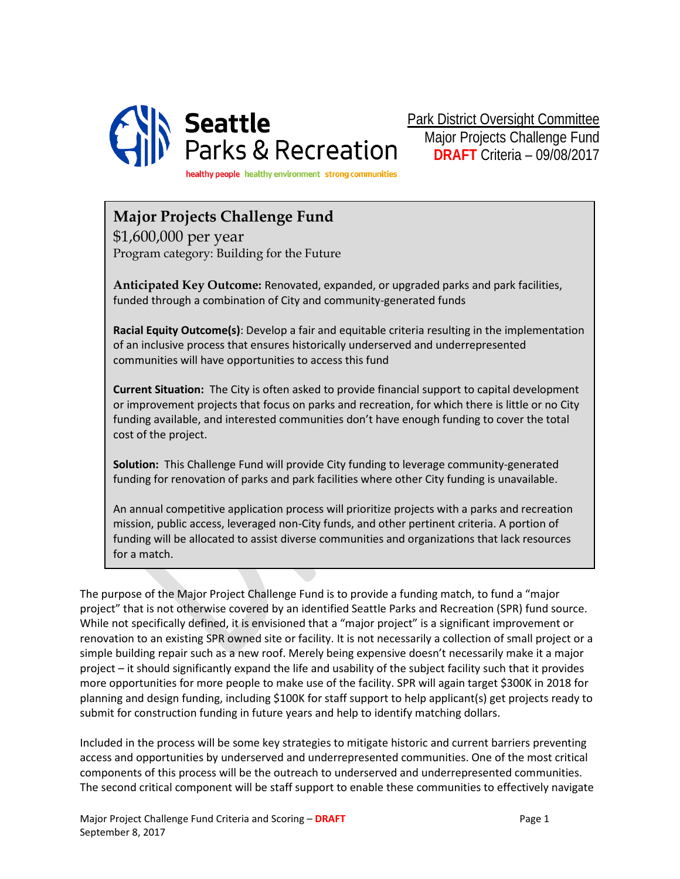

Park District Oversight Committee Major Projects Challenge Fund **DRAFT** Criteria – 09/08/2017

healthy people healthy environment strong communities

## **Major Projects Challenge Fund**

\$1,600,000 per year Program category: Building for the Future

**Anticipated Key Outcome:** Renovated, expanded, or upgraded parks and park facilities, funded through a combination of City and community-generated funds

**Racial Equity Outcome(s)**: Develop a fair and equitable criteria resulting in the implementation of an inclusive process that ensures historically underserved and underrepresented communities will have opportunities to access this fund

**Current Situation:** The City is often asked to provide financial support to capital development or improvement projects that focus on parks and recreation, for which there is little or no City funding available, and interested communities don't have enough funding to cover the total cost of the project.

**Solution:** This Challenge Fund will provide City funding to leverage community-generated funding for renovation of parks and park facilities where other City funding is unavailable.

An annual competitive application process will prioritize projects with a parks and recreation mission, public access, leveraged non-City funds, and other pertinent criteria. A portion of funding will be allocated to assist diverse communities and organizations that lack resources for a match.

The purpose of the Major Project Challenge Fund is to provide a funding match, to fund a "major project" that is not otherwise covered by an identified Seattle Parks and Recreation (SPR) fund source. While not specifically defined, it is envisioned that a "major project" is a significant improvement or renovation to an existing SPR owned site or facility. It is not necessarily a collection of small project or a simple building repair such as a new roof. Merely being expensive doesn't necessarily make it a major project – it should significantly expand the life and usability of the subject facility such that it provides more opportunities for more people to make use of the facility. SPR will again target \$300K in 2018 for planning and design funding, including \$100K for staff support to help applicant(s) get projects ready to submit for construction funding in future years and help to identify matching dollars.

Included in the process will be some key strategies to mitigate historic and current barriers preventing access and opportunities by underserved and underrepresented communities. One of the most critical components of this process will be the outreach to underserved and underrepresented communities. The second critical component will be staff support to enable these communities to effectively navigate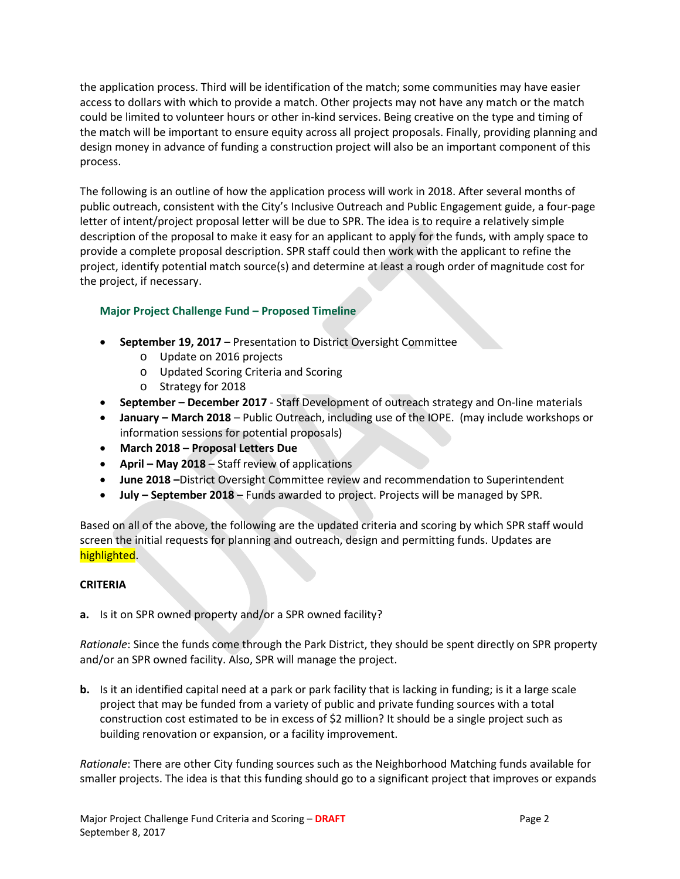the application process. Third will be identification of the match; some communities may have easier access to dollars with which to provide a match. Other projects may not have any match or the match could be limited to volunteer hours or other in-kind services. Being creative on the type and timing of the match will be important to ensure equity across all project proposals. Finally, providing planning and design money in advance of funding a construction project will also be an important component of this process.

The following is an outline of how the application process will work in 2018. After several months of public outreach, consistent with the City's Inclusive Outreach and Public Engagement guide, a four-page letter of intent/project proposal letter will be due to SPR. The idea is to require a relatively simple description of the proposal to make it easy for an applicant to apply for the funds, with amply space to provide a complete proposal description. SPR staff could then work with the applicant to refine the project, identify potential match source(s) and determine at least a rough order of magnitude cost for the project, if necessary.

### **Major Project Challenge Fund – Proposed Timeline**

- **September 19, 2017** Presentation to District Oversight Committee
	- o Update on 2016 projects
	- o Updated Scoring Criteria and Scoring
	- o Strategy for 2018
- **September – December 2017** Staff Development of outreach strategy and On-line materials
- **January – March 2018** Public Outreach, including use of the IOPE. (may include workshops or information sessions for potential proposals)
- **March 2018 – Proposal Letters Due**
- **April – May 2018** Staff review of applications
- **June 2018 –**District Oversight Committee review and recommendation to Superintendent
- **July – September 2018** Funds awarded to project. Projects will be managed by SPR.

Based on all of the above, the following are the updated criteria and scoring by which SPR staff would screen the initial requests for planning and outreach, design and permitting funds. Updates are highlighted.

### **CRITERIA**

**a.** Is it on SPR owned property and/or a SPR owned facility?

*Rationale*: Since the funds come through the Park District, they should be spent directly on SPR property and/or an SPR owned facility. Also, SPR will manage the project.

**b.** Is it an identified capital need at a park or park facility that is lacking in funding; is it a large scale project that may be funded from a variety of public and private funding sources with a total construction cost estimated to be in excess of \$2 million? It should be a single project such as building renovation or expansion, or a facility improvement.

*Rationale*: There are other City funding sources such as the Neighborhood Matching funds available for smaller projects. The idea is that this funding should go to a significant project that improves or expands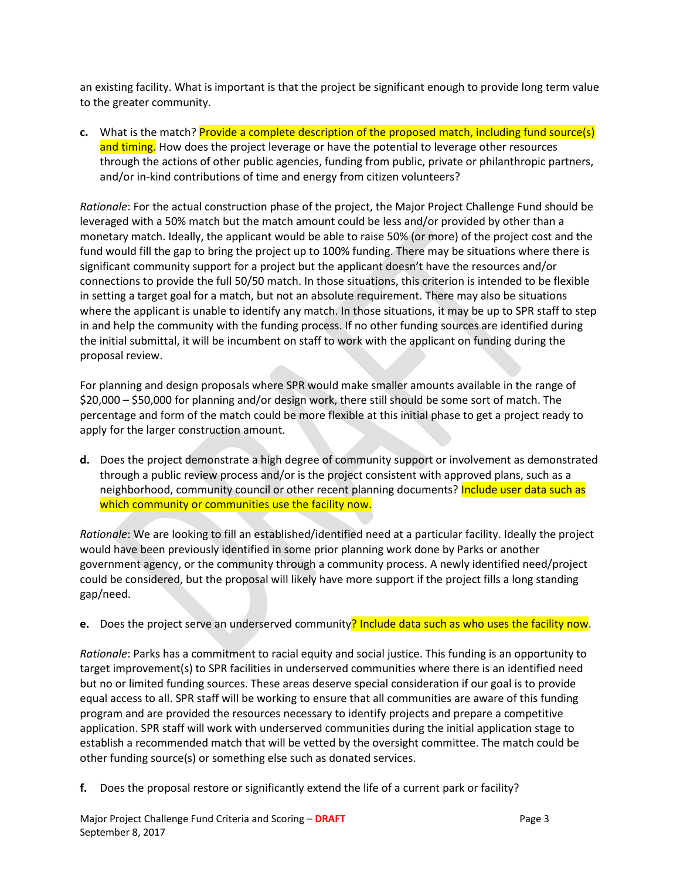an existing facility. What is important is that the project be significant enough to provide long term value to the greater community.

**c.** What is the match? Provide a complete description of the proposed match, including fund source(s) and timing. How does the project leverage or have the potential to leverage other resources through the actions of other public agencies, funding from public, private or philanthropic partners, and/or in-kind contributions of time and energy from citizen volunteers?

*Rationale*: For the actual construction phase of the project, the Major Project Challenge Fund should be leveraged with a 50% match but the match amount could be less and/or provided by other than a monetary match. Ideally, the applicant would be able to raise 50% (or more) of the project cost and the fund would fill the gap to bring the project up to 100% funding. There may be situations where there is significant community support for a project but the applicant doesn't have the resources and/or connections to provide the full 50/50 match. In those situations, this criterion is intended to be flexible in setting a target goal for a match, but not an absolute requirement. There may also be situations where the applicant is unable to identify any match. In those situations, it may be up to SPR staff to step in and help the community with the funding process. If no other funding sources are identified during the initial submittal, it will be incumbent on staff to work with the applicant on funding during the proposal review.

For planning and design proposals where SPR would make smaller amounts available in the range of \$20,000 – \$50,000 for planning and/or design work, there still should be some sort of match. The percentage and form of the match could be more flexible at this initial phase to get a project ready to apply for the larger construction amount.

**d.** Does the project demonstrate a high degree of community support or involvement as demonstrated through a public review process and/or is the project consistent with approved plans, such as a neighborhood, community council or other recent planning documents? Include user data such as which community or communities use the facility now.

*Rationale*: We are looking to fill an established/identified need at a particular facility. Ideally the project would have been previously identified in some prior planning work done by Parks or another government agency, or the community through a community process. A newly identified need/project could be considered, but the proposal will likely have more support if the project fills a long standing gap/need.

**e.** Does the project serve an underserved community? Include data such as who uses the facility now.

*Rationale*: Parks has a commitment to racial equity and social justice. This funding is an opportunity to target improvement(s) to SPR facilities in underserved communities where there is an identified need but no or limited funding sources. These areas deserve special consideration if our goal is to provide equal access to all. SPR staff will be working to ensure that all communities are aware of this funding program and are provided the resources necessary to identify projects and prepare a competitive application. SPR staff will work with underserved communities during the initial application stage to establish a recommended match that will be vetted by the oversight committee. The match could be other funding source(s) or something else such as donated services.

**f.** Does the proposal restore or significantly extend the life of a current park or facility?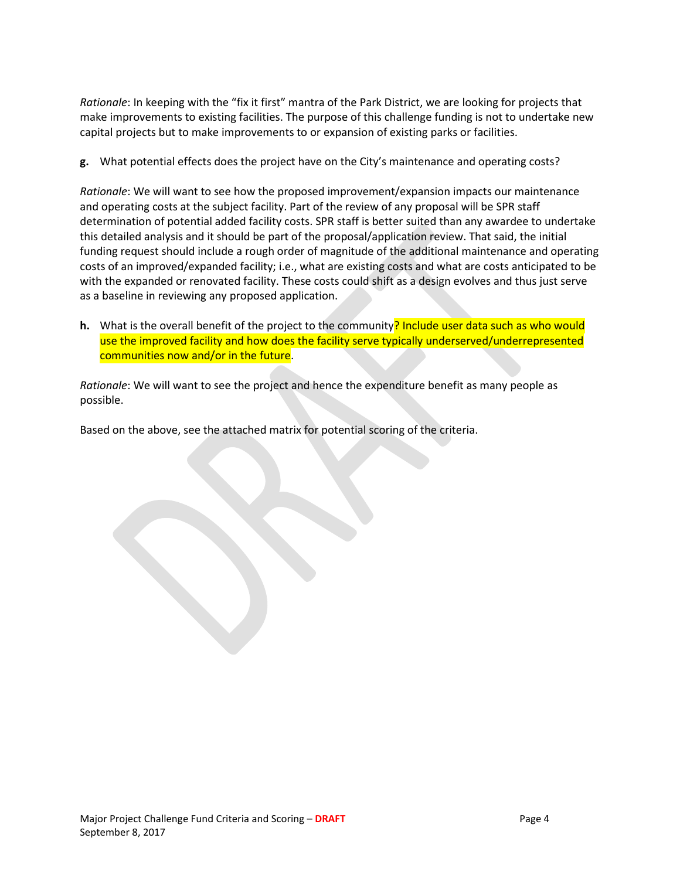*Rationale*: In keeping with the "fix it first" mantra of the Park District, we are looking for projects that make improvements to existing facilities. The purpose of this challenge funding is not to undertake new capital projects but to make improvements to or expansion of existing parks or facilities.

**g.** What potential effects does the project have on the City's maintenance and operating costs?

*Rationale*: We will want to see how the proposed improvement/expansion impacts our maintenance and operating costs at the subject facility. Part of the review of any proposal will be SPR staff determination of potential added facility costs. SPR staff is better suited than any awardee to undertake this detailed analysis and it should be part of the proposal/application review. That said, the initial funding request should include a rough order of magnitude of the additional maintenance and operating costs of an improved/expanded facility; i.e., what are existing costs and what are costs anticipated to be with the expanded or renovated facility. These costs could shift as a design evolves and thus just serve as a baseline in reviewing any proposed application.

**h.** What is the overall benefit of the project to the community? Include user data such as who would use the improved facility and how does the facility serve typically underserved/underrepresented communities now and/or in the future.

*Rationale*: We will want to see the project and hence the expenditure benefit as many people as possible.

Based on the above, see the attached matrix for potential scoring of the criteria.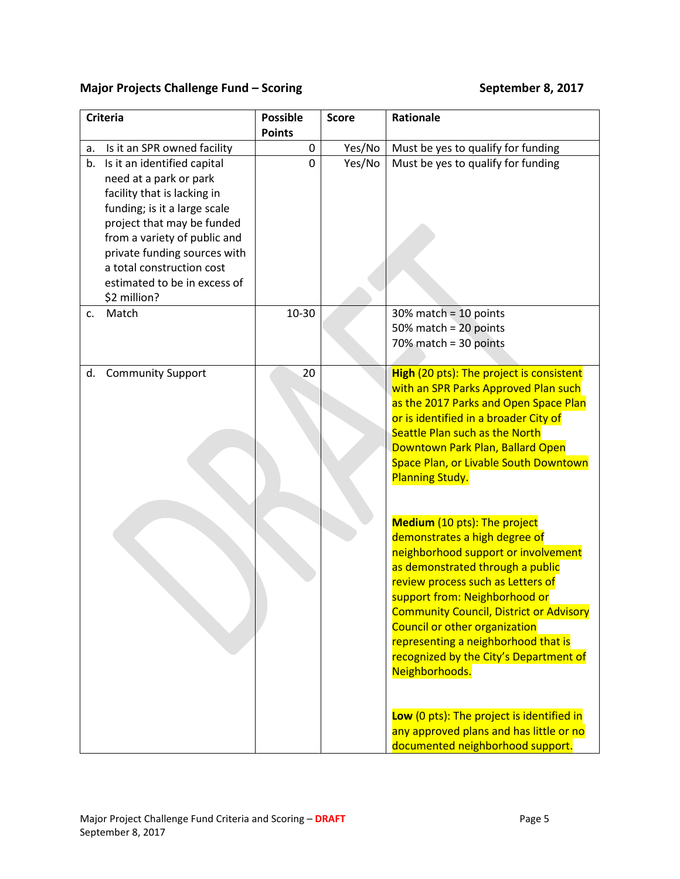# **Major Projects Challenge Fund – Scoring Theory of September 8, 2017**

| <b>Criteria</b> |                                                                                                                                                                                                                                                                                                 | <b>Possible</b><br><b>Points</b> |             | <b>Score</b> | <b>Rationale</b>                                                                                                                                                                                                                                                                                                                                                                                                                                                                                                                        |
|-----------------|-------------------------------------------------------------------------------------------------------------------------------------------------------------------------------------------------------------------------------------------------------------------------------------------------|----------------------------------|-------------|--------------|-----------------------------------------------------------------------------------------------------------------------------------------------------------------------------------------------------------------------------------------------------------------------------------------------------------------------------------------------------------------------------------------------------------------------------------------------------------------------------------------------------------------------------------------|
| а.              | Is it an SPR owned facility                                                                                                                                                                                                                                                                     |                                  | 0           | Yes/No       | Must be yes to qualify for funding                                                                                                                                                                                                                                                                                                                                                                                                                                                                                                      |
| b.              | Is it an identified capital<br>need at a park or park<br>facility that is lacking in<br>funding; is it a large scale<br>project that may be funded<br>from a variety of public and<br>private funding sources with<br>a total construction cost<br>estimated to be in excess of<br>\$2 million? |                                  | $\mathbf 0$ | Yes/No       | Must be yes to qualify for funding                                                                                                                                                                                                                                                                                                                                                                                                                                                                                                      |
| C.              | Match                                                                                                                                                                                                                                                                                           | 10-30                            |             |              | $30\%$ match = 10 points<br>50% match = $20$ points<br>$70\%$ match = 30 points                                                                                                                                                                                                                                                                                                                                                                                                                                                         |
| d.              | <b>Community Support</b>                                                                                                                                                                                                                                                                        |                                  | 20          |              | High (20 pts): The project is consistent<br>with an SPR Parks Approved Plan such<br>as the 2017 Parks and Open Space Plan<br>or is identified in a broader City of<br>Seattle Plan such as the North<br>Downtown Park Plan, Ballard Open<br>Space Plan, or Livable South Downtown<br><b>Planning Study.</b>                                                                                                                                                                                                                             |
|                 |                                                                                                                                                                                                                                                                                                 |                                  |             |              | Medium (10 pts): The project<br>demonstrates a high degree of<br>neighborhood support or involvement<br>as demonstrated through a public<br>review process such as Letters of<br>support from: Neighborhood or<br><b>Community Council, District or Advisory</b><br><b>Council or other organization</b><br>representing a neighborhood that is<br>recognized by the City's Department of<br>Neighborhoods.<br>Low (0 pts): The project is identified in<br>any approved plans and has little or no<br>documented neighborhood support. |